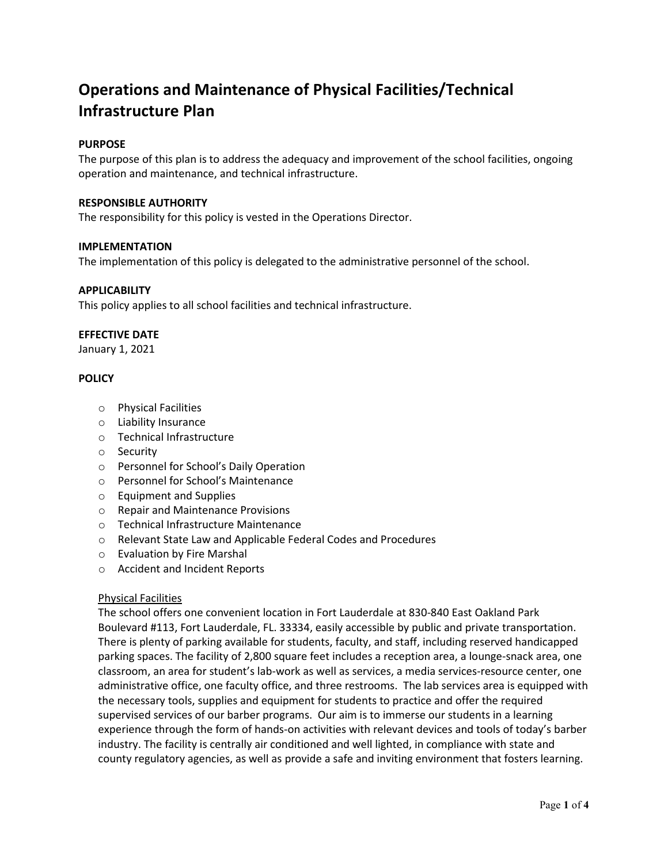# **Operations and Maintenance of Physical Facilities/Technical Infrastructure Plan**

# **PURPOSE**

The purpose of this plan is to address the adequacy and improvement of the school facilities, ongoing operation and maintenance, and technical infrastructure.

# **RESPONSIBLE AUTHORITY**

The responsibility for this policy is vested in the Operations Director.

# **IMPLEMENTATION**

The implementation of this policy is delegated to the administrative personnel of the school.

# **APPLICABILITY**

This policy applies to all school facilities and technical infrastructure.

# **EFFECTIVE DATE**

January 1, 2021

# **POLICY**

- o Physical Facilities
- o Liability Insurance
- o Technical Infrastructure
- o Security
- o Personnel for School's Daily Operation
- o Personnel for School's Maintenance
- o Equipment and Supplies
- o Repair and Maintenance Provisions
- o Technical Infrastructure Maintenance
- o Relevant State Law and Applicable Federal Codes and Procedures
- o Evaluation by Fire Marshal
- o Accident and Incident Reports

#### Physical Facilities

The school offers one convenient location in Fort Lauderdale at 830-840 East Oakland Park Boulevard #113, Fort Lauderdale, FL. 33334, easily accessible by public and private transportation. There is plenty of parking available for students, faculty, and staff, including reserved handicapped parking spaces. The facility of 2,800 square feet includes a reception area, a lounge-snack area, one classroom, an area for student's lab-work as well as services, a media services-resource center, one administrative office, one faculty office, and three restrooms. The lab services area is equipped with the necessary tools, supplies and equipment for students to practice and offer the required supervised services of our barber programs. Our aim is to immerse our students in a learning experience through the form of hands-on activities with relevant devices and tools of today's barber industry. The facility is centrally air conditioned and well lighted, in compliance with state and county regulatory agencies, as well as provide a safe and inviting environment that fosters learning.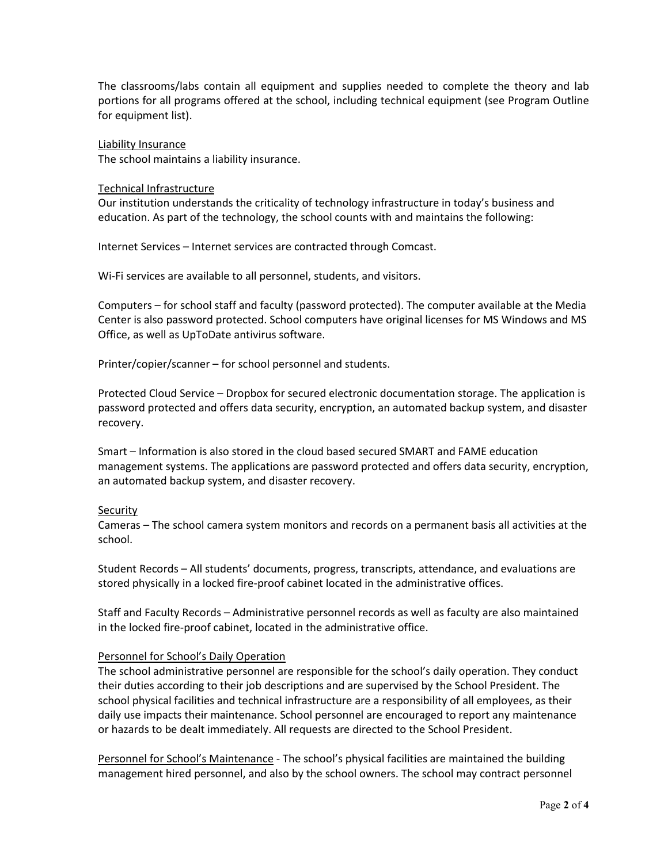The classrooms/labs contain all equipment and supplies needed to complete the theory and lab portions for all programs offered at the school, including technical equipment (see Program Outline for equipment list).

Liability Insurance The school maintains a liability insurance.

#### Technical Infrastructure

Our institution understands the criticality of technology infrastructure in today's business and education. As part of the technology, the school counts with and maintains the following:

Internet Services – Internet services are contracted through Comcast.

Wi-Fi services are available to all personnel, students, and visitors.

Computers – for school staff and faculty (password protected). The computer available at the Media Center is also password protected. School computers have original licenses for MS Windows and MS Office, as well as UpToDate antivirus software.

Printer/copier/scanner – for school personnel and students.

Protected Cloud Service – Dropbox for secured electronic documentation storage. The application is password protected and offers data security, encryption, an automated backup system, and disaster recovery.

Smart – Information is also stored in the cloud based secured SMART and FAME education management systems. The applications are password protected and offers data security, encryption, an automated backup system, and disaster recovery.

# **Security**

Cameras – The school camera system monitors and records on a permanent basis all activities at the school.

Student Records – All students' documents, progress, transcripts, attendance, and evaluations are stored physically in a locked fire-proof cabinet located in the administrative offices.

Staff and Faculty Records – Administrative personnel records as well as faculty are also maintained in the locked fire-proof cabinet, located in the administrative office.

# Personnel for School's Daily Operation

The school administrative personnel are responsible for the school's daily operation. They conduct their duties according to their job descriptions and are supervised by the School President. The school physical facilities and technical infrastructure are a responsibility of all employees, as their daily use impacts their maintenance. School personnel are encouraged to report any maintenance or hazards to be dealt immediately. All requests are directed to the School President.

Personnel for School's Maintenance - The school's physical facilities are maintained the building management hired personnel, and also by the school owners. The school may contract personnel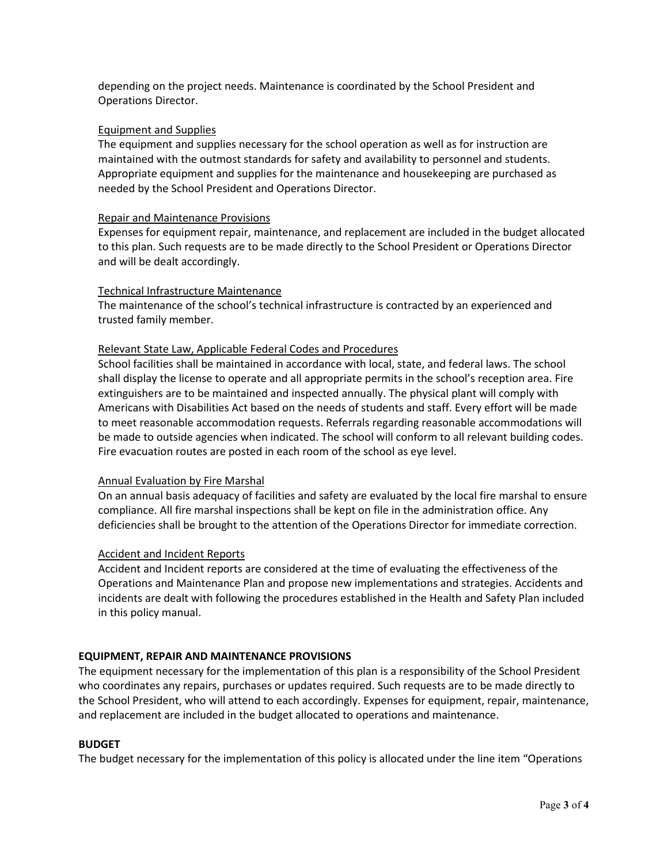depending on the project needs. Maintenance is coordinated by the School President and Operations Director.

# Equipment and Supplies

The equipment and supplies necessary for the school operation as well as for instruction are maintained with the outmost standards for safety and availability to personnel and students. Appropriate equipment and supplies for the maintenance and housekeeping are purchased as needed by the School President and Operations Director.

#### Repair and Maintenance Provisions

Expenses for equipment repair, maintenance, and replacement are included in the budget allocated to this plan. Such requests are to be made directly to the School President or Operations Director and will be dealt accordingly.

# Technical Infrastructure Maintenance

The maintenance of the school's technical infrastructure is contracted by an experienced and trusted family member.

# Relevant State Law, Applicable Federal Codes and Procedures

School facilities shall be maintained in accordance with local, state, and federal laws. The school shall display the license to operate and all appropriate permits in the school's reception area. Fire extinguishers are to be maintained and inspected annually. The physical plant will comply with Americans with Disabilities Act based on the needs of students and staff. Every effort will be made to meet reasonable accommodation requests. Referrals regarding reasonable accommodations will be made to outside agencies when indicated. The school will conform to all relevant building codes. Fire evacuation routes are posted in each room of the school as eye level.

# Annual Evaluation by Fire Marshal

On an annual basis adequacy of facilities and safety are evaluated by the local fire marshal to ensure compliance. All fire marshal inspections shall be kept on file in the administration office. Any deficiencies shall be brought to the attention of the Operations Director for immediate correction.

# Accident and Incident Reports

Accident and Incident reports are considered at the time of evaluating the effectiveness of the Operations and Maintenance Plan and propose new implementations and strategies. Accidents and incidents are dealt with following the procedures established in the Health and Safety Plan included in this policy manual.

# **EQUIPMENT, REPAIR AND MAINTENANCE PROVISIONS**

The equipment necessary for the implementation of this plan is a responsibility of the School President who coordinates any repairs, purchases or updates required. Such requests are to be made directly to the School President, who will attend to each accordingly. Expenses for equipment, repair, maintenance, and replacement are included in the budget allocated to operations and maintenance.

#### **BUDGET**

The budget necessary for the implementation of this policy is allocated under the line item "Operations